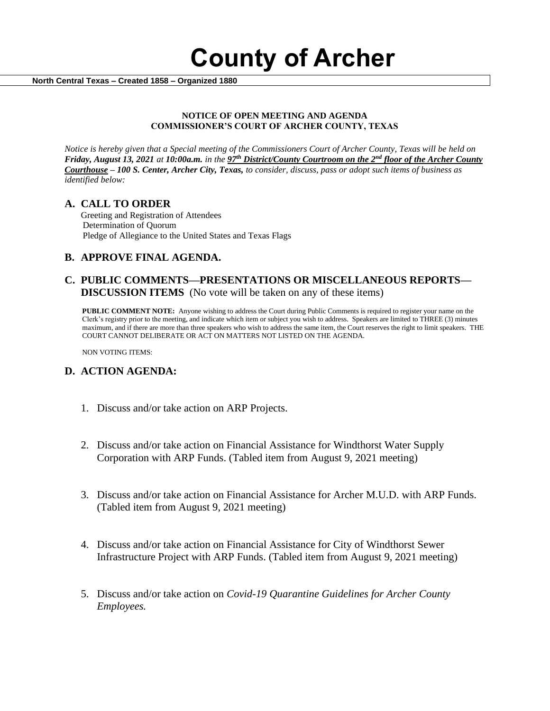**County of Archer** 

 **North Central Texas – Created 1858 – Organized 1880**

#### **NOTICE OF OPEN MEETING AND AGENDA COMMISSIONER'S COURT OF ARCHER COUNTY, TEXAS**

*Notice is hereby given that a Special meeting of the Commissioners Court of Archer County, Texas will be held on Friday, August 13, 2021 at 10:00a.m. in the 97th District/County Courtroom on the 2nd floor of the Archer County Courthouse – 100 S. Center, Archer City, Texas, to consider, discuss, pass or adopt such items of business as identified below:*

#### **A. CALL TO ORDER**

 Greeting and Registration of Attendees Determination of Quorum Pledge of Allegiance to the United States and Texas Flags

# **B. APPROVE FINAL AGENDA.**

### **C. PUBLIC COMMENTS—PRESENTATIONS OR MISCELLANEOUS REPORTS— DISCUSSION ITEMS** (No vote will be taken on any of these items)

**PUBLIC COMMENT NOTE:** Anyone wishing to address the Court during Public Comments is required to register your name on the Clerk's registry prior to the meeting, and indicate which item or subject you wish to address. Speakers are limited to THREE (3) minutes maximum, and if there are more than three speakers who wish to address the same item, the Court reserves the right to limit speakers. THE COURT CANNOT DELIBERATE OR ACT ON MATTERS NOT LISTED ON THE AGENDA.

NON VOTING ITEMS:

# **D. ACTION AGENDA:**

- 1. Discuss and/or take action on ARP Projects.
- 2. Discuss and/or take action on Financial Assistance for Windthorst Water Supply Corporation with ARP Funds. (Tabled item from August 9, 2021 meeting)
- 3. Discuss and/or take action on Financial Assistance for Archer M.U.D. with ARP Funds. (Tabled item from August 9, 2021 meeting)
- 4. Discuss and/or take action on Financial Assistance for City of Windthorst Sewer Infrastructure Project with ARP Funds. (Tabled item from August 9, 2021 meeting)
- 5. Discuss and/or take action on *Covid-19 Quarantine Guidelines for Archer County Employees.*